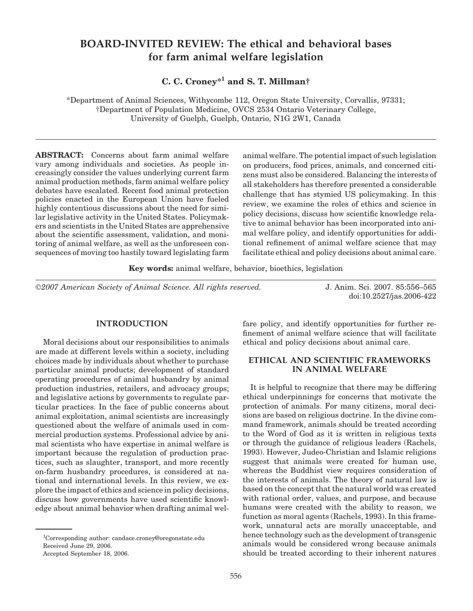# **BOARD-INVITED REVIEW: The ethical and behavioral bases for farm animal welfare legislation**

**C. C. Croney\*1 and S. T. Millman†**

\*Department of Animal Sciences, Withycombe 112, Oregon State University, Corvallis, 97331; †Department of Population Medicine, OVCS 2534 Ontario Veterinary College, University of Guelph, Guelph, Ontario, N1G 2W1, Canada

**ABSTRACT:** Concerns about farm animal welfare vary among individuals and societies. As people increasingly consider the values underlying current farm animal production methods, farm animal welfare policy debates have escalated. Recent food animal protection policies enacted in the European Union have fueled highly contentious discussions about the need for similar legislative activity in the United States. Policymakers and scientists in the United States are apprehensive about the scientific assessment, validation, and monitoring of animal welfare, as well as the unforeseen consequences of moving too hastily toward legislating farm animal welfare. The potential impact of such legislation on producers, food prices, animals, and concerned citizens must also be considered. Balancing the interests of all stakeholders has therefore presented a considerable challenge that has stymied US policymaking. In this review, we examine the roles of ethics and science in policy decisions, discuss how scientific knowledge relative to animal behavior has been incorporated into animal welfare policy, and identify opportunities for additional refinement of animal welfare science that may facilitate ethical and policy decisions about animal care.

**Key words:** animal welfare, behavior, bioethics, legislation

©*2007 American Society of Animal Science. All rights reserved.* J. Anim. Sci. 2007. 85:556–565

doi:10.2527/jas.2006-422

#### **INTRODUCTION**

Moral decisions about our responsibilities to animals are made at different levels within a society, including choices made by individuals about whether to purchase particular animal products; development of standard operating procedures of animal husbandry by animal production industries, retailers, and advocacy groups; and legislative actions by governments to regulate particular practices. In the face of public concerns about animal exploitation, animal scientists are increasingly questioned about the welfare of animals used in commercial production systems. Professional advice by animal scientists who have expertise in animal welfare is important because the regulation of production practices, such as slaughter, transport, and more recently on-farm husbandry procedures, is considered at national and international levels. In this review, we explore the impact of ethics and science in policy decisions, discuss how governments have used scientific knowledge about animal behavior when drafting animal wel-

Accepted September 18, 2006.

fare policy, and identify opportunities for further refinement of animal welfare science that will facilitate ethical and policy decisions about animal care.

# **ETHICAL AND SCIENTIFIC FRAMEWORKS IN ANIMAL WELFARE**

It is helpful to recognize that there may be differing ethical underpinnings for concerns that motivate the protection of animals. For many citizens, moral decisions are based on religious doctrine. In the divine command framework, animals should be treated according to the Word of God as it is written in religious texts or through the guidance of religious leaders (Rachels, 1993). However, Judeo-Christian and Islamic religions suggest that animals were created for human use, whereas the Buddhist view requires consideration of the interests of animals. The theory of natural law is based on the concept that the natural world was created with rational order, values, and purpose, and because humans were created with the ability to reason, we function as moral agents (Rachels, 1993). In this framework, unnatural acts are morally unacceptable, and hence technology such as the development of transgenic animals would be considered wrong because animals should be treated according to their inherent natures

<sup>1</sup> Corresponding author: candace.croney@oregonstate.edu Received June 29, 2006.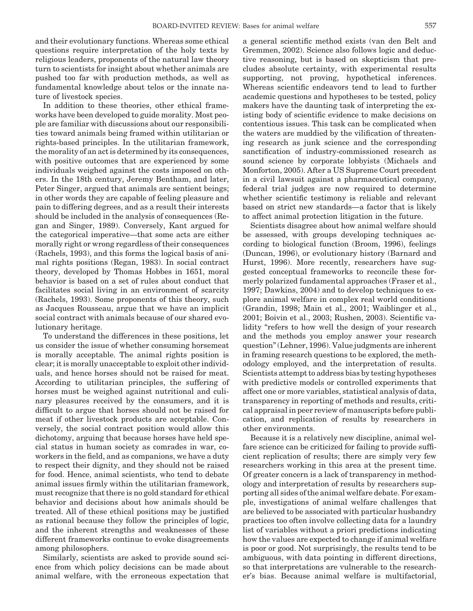and their evolutionary functions. Whereas some ethical questions require interpretation of the holy texts by religious leaders, proponents of the natural law theory turn to scientists for insight about whether animals are pushed too far with production methods, as well as fundamental knowledge about telos or the innate nature of livestock species.

In addition to these theories, other ethical frameworks have been developed to guide morality. Most people are familiar with discussions about our responsibilities toward animals being framed within utilitarian or rights-based principles. In the utilitarian framework, the morality of an act is determined by its consequences, with positive outcomes that are experienced by some individuals weighed against the costs imposed on others. In the 18th century, Jeremy Bentham, and later, Peter Singer, argued that animals are sentient beings; in other words they are capable of feeling pleasure and pain to differing degrees, and as a result their interests should be included in the analysis of consequences (Regan and Singer, 1989). Conversely, Kant argued for the categorical imperative—that some acts are either morally right or wrong regardless of their consequences (Rachels, 1993), and this forms the logical basis of animal rights positions (Regan, 1983). In social contract theory, developed by Thomas Hobbes in 1651, moral behavior is based on a set of rules about conduct that facilitates social living in an environment of scarcity (Rachels, 1993). Some proponents of this theory, such as Jacques Rousseau, argue that we have an implicit social contract with animals because of our shared evolutionary heritage.

To understand the differences in these positions, let us consider the issue of whether consuming horsemeat is morally acceptable. The animal rights position is clear; it is morally unacceptable to exploit other individuals, and hence horses should not be raised for meat. According to utilitarian principles, the suffering of horses must be weighed against nutritional and culinary pleasures received by the consumers, and it is difficult to argue that horses should not be raised for meat if other livestock products are acceptable. Conversely, the social contract position would allow this dichotomy, arguing that because horses have held special status in human society as comrades in war, coworkers in the field, and as companions, we have a duty to respect their dignity, and they should not be raised for food. Hence, animal scientists, who tend to debate animal issues firmly within the utilitarian framework, must recognize that there is no gold standard for ethical behavior and decisions about how animals should be treated. All of these ethical positions may be justified as rational because they follow the principles of logic, and the inherent strengths and weaknesses of these different frameworks continue to evoke disagreements among philosophers.

Similarly, scientists are asked to provide sound science from which policy decisions can be made about animal welfare, with the erroneous expectation that a general scientific method exists (van den Belt and Gremmen, 2002). Science also follows logic and deductive reasoning, but is based on skepticism that precludes absolute certainty, with experimental results supporting, not proving, hypothetical inferences. Whereas scientific endeavors tend to lead to further academic questions and hypotheses to be tested, policy makers have the daunting task of interpreting the existing body of scientific evidence to make decisions on contentious issues. This task can be complicated when the waters are muddied by the vilification of threatening research as junk science and the corresponding sanctification of industry-commissioned research as sound science by corporate lobbyists (Michaels and Monforton, 2005). After a US Supreme Court precedent in a civil lawsuit against a pharmaceutical company, federal trial judges are now required to determine whether scientific testimony is reliable and relevant based on strict new standards—a factor that is likely to affect animal protection litigation in the future.

Scientists disagree about how animal welfare should be assessed, with groups developing techniques according to biological function (Broom, 1996), feelings (Duncan, 1996), or evolutionary history (Barnard and Hurst, 1996). More recently, researchers have suggested conceptual frameworks to reconcile these formerly polarized fundamental approaches (Fraser et al., 1997; Dawkins, 2004) and to develop techniques to explore animal welfare in complex real world conditions (Grandin, 1998; Main et al., 2001; Waiblinger et al., 2001; Boivin et al., 2003; Rushen, 2003). Scientific validity "refers to how well the design of your research and the methods you employ answer your research question" (Lehner, 1996). Value judgments are inherent in framing research questions to be explored, the methodology employed, and the interpretation of results. Scientists attempt to address bias by testing hypotheses with predictive models or controlled experiments that affect one or more variables, statistical analysis of data, transparency in reporting of methods and results, critical appraisal in peer review of manuscripts before publication, and replication of results by researchers in other environments.

Because it is a relatively new discipline, animal welfare science can be criticized for failing to provide sufficient replication of results; there are simply very few researchers working in this area at the present time. Of greater concern is a lack of transparency in methodology and interpretation of results by researchers supporting all sides of the animal welfare debate. For example, investigations of animal welfare challenges that are believed to be associated with particular husbandry practices too often involve collecting data for a laundry list of variables without a priori predictions indicating how the values are expected to change if animal welfare is poor or good. Not surprisingly, the results tend to be ambiguous, with data pointing in different directions, so that interpretations are vulnerable to the researcher's bias. Because animal welfare is multifactorial,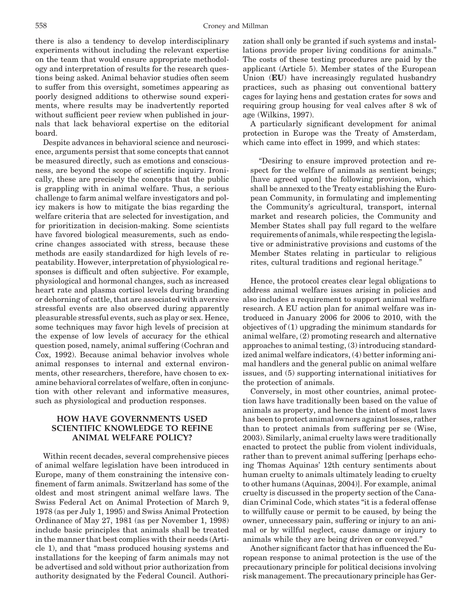there is also a tendency to develop interdisciplinary experiments without including the relevant expertise on the team that would ensure appropriate methodology and interpretation of results for the research questions being asked. Animal behavior studies often seem to suffer from this oversight, sometimes appearing as poorly designed additions to otherwise sound experiments, where results may be inadvertently reported without sufficient peer review when published in journals that lack behavioral expertise on the editorial board.

Despite advances in behavioral science and neuroscience, arguments persist that some concepts that cannot be measured directly, such as emotions and consciousness, are beyond the scope of scientific inquiry. Ironically, these are precisely the concepts that the public is grappling with in animal welfare. Thus, a serious challenge to farm animal welfare investigators and policy makers is how to mitigate the bias regarding the welfare criteria that are selected for investigation, and for prioritization in decision-making. Some scientists have favored biological measurements, such as endocrine changes associated with stress, because these methods are easily standardized for high levels of repeatability. However, interpretation of physiological responses is difficult and often subjective. For example, physiological and hormonal changes, such as increased heart rate and plasma cortisol levels during branding or dehorning of cattle, that are associated with aversive stressful events are also observed during apparently pleasurable stressful events, such as play or sex. Hence, some techniques may favor high levels of precision at the expense of low levels of accuracy for the ethical question posed, namely, animal suffering (Cochran and Cox, 1992). Because animal behavior involves whole animal responses to internal and external environments, other researchers, therefore, have chosen to examine behavioral correlates of welfare, often in conjunction with other relevant and informative measures, such as physiological and production responses.

# **HOW HAVE GOVERNMENTS USED SCIENTIFIC KNOWLEDGE TO REFINE ANIMAL WELFARE POLICY?**

Within recent decades, several comprehensive pieces of animal welfare legislation have been introduced in Europe, many of them constraining the intensive confinement of farm animals. Switzerland has some of the oldest and most stringent animal welfare laws. The Swiss Federal Act on Animal Protection of March 9, 1978 (as per July 1, 1995) and Swiss Animal Protection Ordinance of May 27, 1981 (as per November 1, 1998) include basic principles that animals shall be treated in the manner that best complies with their needs (Article 1), and that "mass produced housing systems and installations for the keeping of farm animals may not be advertised and sold without prior authorization from authority designated by the Federal Council. Authorization shall only be granted if such systems and installations provide proper living conditions for animals." The costs of these testing procedures are paid by the applicant (Article 5). Member states of the European Union (**EU**) have increasingly regulated husbandry practices, such as phasing out conventional battery cages for laying hens and gestation crates for sows and requiring group housing for veal calves after 8 wk of age (Wilkins, 1997).

A particularly significant development for animal protection in Europe was the Treaty of Amsterdam, which came into effect in 1999, and which states:

"Desiring to ensure improved protection and respect for the welfare of animals as sentient beings; [have agreed upon] the following provision, which shall be annexed to the Treaty establishing the European Community, in formulating and implementing the Community's agricultural, transport, internal market and research policies, the Community and Member States shall pay full regard to the welfare requirements of animals, while respecting the legislative or administrative provisions and customs of the Member States relating in particular to religious rites, cultural traditions and regional heritage."

Hence, the protocol creates clear legal obligations to address animal welfare issues arising in policies and also includes a requirement to support animal welfare research. A EU action plan for animal welfare was introduced in January 2006 for 2006 to 2010, with the objectives of (1) upgrading the minimum standards for animal welfare, (2) promoting research and alternative approaches to animal testing, (3) introducing standardized animal welfare indicators, (4) better informing animal handlers and the general public on animal welfare issues, and (5) supporting international initiatives for the protection of animals.

Conversely, in most other countries, animal protection laws have traditionally been based on the value of animals as property, and hence the intent of most laws has been to protect animal owners against losses, rather than to protect animals from suffering per se (Wise, 2003). Similarly, animal cruelty laws were traditionally enacted to protect the public from violent individuals, rather than to prevent animal suffering [perhaps echoing Thomas Aquinas' 12th century sentiments about human cruelty to animals ultimately leading to cruelty to other humans (Aquinas, 2004)]. For example, animal cruelty is discussed in the property section of the Canadian Criminal Code, which states "it is a federal offense to willfully cause or permit to be caused, by being the owner, unnecessary pain, suffering or injury to an animal or by willful neglect, cause damage or injury to animals while they are being driven or conveyed."

Another significant factor that has influenced the European response to animal protection is the use of the precautionary principle for political decisions involving risk management. The precautionary principle has Ger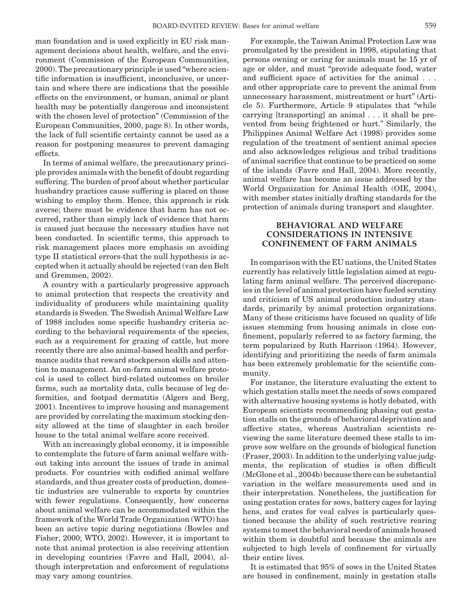man foundation and is used explicitly in EU risk management decisions about health, welfare, and the environment (Commission of the European Communities, 2000). The precautionary principle is used "where scientific information is insufficient, inconclusive, or uncertain and where there are indications that the possible effects on the environment, or human, animal or plant health may be potentially dangerous and inconsistent with the chosen level of protection" (Commission of the European Communities, 2000, page 8). In other words, the lack of full scientific certainty cannot be used as a reason for postponing measures to prevent damaging effects.

In terms of animal welfare, the precautionary principle provides animals with the benefit of doubt regarding suffering. The burden of proof about whether particular husbandry practices cause suffering is placed on those wishing to employ them. Hence, this approach is risk averse; there must be evidence that harm has not occurred, rather than simply lack of evidence that harm is caused just because the necessary studies have not been conducted. In scientific terms, this approach to risk management places more emphasis on avoiding type II statistical errors-that the null hypothesis is accepted when it actually should be rejected (van den Belt and Gremmen, 2002).

A country with a particularly progressive approach to animal protection that respects the creativity and individuality of producers while maintaining quality standards is Sweden. The Swedish Animal Welfare Law of 1988 includes some specific husbandry criteria according to the behavioral requirements of the species, such as a requirement for grazing of cattle, but more recently there are also animal-based health and performance audits that reward stockperson skills and attention to management. An on-farm animal welfare protocol is used to collect bird-related outcomes on broiler farms, such as mortality data, culls because of leg deformities, and footpad dermatitis (Algers and Berg, 2001). Incentives to improve housing and management are provided by correlating the maximum stocking density allowed at the time of slaughter in each broiler house to the total animal welfare score received.

With an increasingly global economy, it is impossible to contemplate the future of farm animal welfare without taking into account the issues of trade in animal products. For countries with codified animal welfare standards, and thus greater costs of production, domestic industries are vulnerable to exports by countries with fewer regulations. Consequently, how concerns about animal welfare can be accommodated within the framework of the World Trade Organization (WTO) has been an active topic during negotiations (Bowles and Fisher, 2000; WTO, 2002). However, it is important to note that animal protection is also receiving attention in developing countries (Favre and Hall, 2004), although interpretation and enforcement of regulations may vary among countries.

For example, the Taiwan Animal Protection Law was promulgated by the president in 1998, stipulating that persons owning or caring for animals must be 15 yr of age or older, and must "provide adequate food, water and sufficient space of activities for the animal . . . and other appropriate care to prevent the animal from unnecessary harassment, mistreatment or hurt" (Article 5). Furthermore, Article 9 stipulates that "while carrying [transporting] an animal . . . it shall be prevented from being frightened or hurt." Similarly, the Philippines Animal Welfare Act (1998) provides some regulation of the treatment of sentient animal species and also acknowledges religious and tribal traditions of animal sacrifice that continue to be practiced on some of the islands (Favre and Hall, 2004). More recently, animal welfare has become an issue addressed by the World Organization for Animal Health (OIE, 2004), with member states initially drafting standards for the protection of animals during transport and slaughter.

#### **BEHAVIORAL AND WELFARE CONSIDERATIONS IN INTENSIVE CONFINEMENT OF FARM ANIMALS**

In comparison with the EU nations, the United States currently has relatively little legislation aimed at regulating farm animal welfare. The perceived discrepancies in the level of animal protection have fueled scrutiny and criticism of US animal production industry standards, primarily by animal protection organizations. Many of these criticisms have focused on quality of life issues stemming from housing animals in close confinement, popularly referred to as factory farming, the term popularized by Ruth Harrison (1964). However, identifying and prioritizing the needs of farm animals has been extremely problematic for the scientific community.

For instance, the literature evaluating the extent to which gestation stalls meet the needs of sows compared with alternative housing systems is hotly debated, with European scientists recommending phasing out gestation stalls on the grounds of behavioral deprivation and affective states, whereas Australian scientists reviewing the same literature deemed these stalls to improve sow welfare on the grounds of biological function (Fraser, 2003). In addition to the underlying value judgments, the replication of studies is often difficult (McGlone et al., 2004b) because there can be substantial variation in the welfare measurements used and in their interpretation. Nonetheless, the justification for using gestation crates for sows, battery cages for laying hens, and crates for veal calves is particularly questioned because the ability of such restrictive rearing systems to meet the behavioral needs of animals housed within them is doubtful and because the animals are subjected to high levels of confinement for virtually their entire lives.

It is estimated that 95% of sows in the United States are housed in confinement, mainly in gestation stalls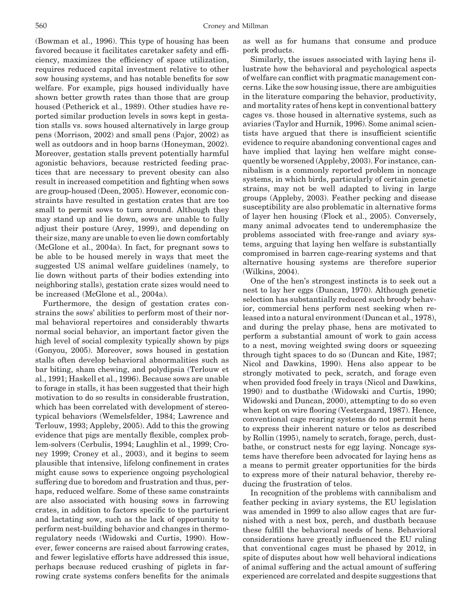(Bowman et al., 1996). This type of housing has been favored because it facilitates caretaker safety and efficiency, maximizes the efficiency of space utilization, requires reduced capital investment relative to other sow housing systems, and has notable benefits for sow welfare. For example, pigs housed individually have shown better growth rates than those that are group housed (Petherick et al., 1989). Other studies have reported similar production levels in sows kept in gestation stalls vs. sows housed alternatively in large group pens (Morrison, 2002) and small pens (Pajor, 2002) as well as outdoors and in hoop barns (Honeyman, 2002). Moreover, gestation stalls prevent potentially harmful agonistic behaviors, because restricted feeding practices that are necessary to prevent obesity can also result in increased competition and fighting when sows are group-housed (Deen, 2005). However, economic constraints have resulted in gestation crates that are too small to permit sows to turn around. Although they may stand up and lie down, sows are unable to fully adjust their posture (Arey, 1999), and depending on their size, many are unable to even lie down comfortably (McGlone et al., 2004a). In fact, for pregnant sows to be able to be housed merely in ways that meet the suggested US animal welfare guidelines (namely, to lie down without parts of their bodies extending into neighboring stalls), gestation crate sizes would need to be increased (McGlone et al., 2004a).

Furthermore, the design of gestation crates constrains the sows' abilities to perform most of their normal behavioral repertoires and considerably thwarts normal social behavior, an important factor given the high level of social complexity typically shown by pigs (Gonyou, 2005). Moreover, sows housed in gestation stalls often develop behavioral abnormalities such as bar biting, sham chewing, and polydipsia (Terlouw et al., 1991; Haskell et al., 1996). Because sows are unable to forage in stalls, it has been suggested that their high motivation to do so results in considerable frustration, which has been correlated with development of stereotypical behaviors (Wemelsfelder, 1984; Lawrence and Terlouw, 1993; Appleby, 2005). Add to this the growing evidence that pigs are mentally flexible, complex problem-solvers (Cerbulis, 1994; Laughlin et al., 1999; Croney 1999; Croney et al., 2003), and it begins to seem plausible that intensive, lifelong confinement in crates might cause sows to experience ongoing psychological suffering due to boredom and frustration and thus, perhaps, reduced welfare. Some of these same constraints are also associated with housing sows in farrowing crates, in addition to factors specific to the parturient and lactating sow, such as the lack of opportunity to perform nest-building behavior and changes in thermoregulatory needs (Widowski and Curtis, 1990). However, fewer concerns are raised about farrowing crates, and fewer legislative efforts have addressed this issue, perhaps because reduced crushing of piglets in farrowing crate systems confers benefits for the animals as well as for humans that consume and produce pork products.

Similarly, the issues associated with laying hens illustrate how the behavioral and psychological aspects of welfare can conflict with pragmatic management concerns. Like the sow housing issue, there are ambiguities in the literature comparing the behavior, productivity, and mortality rates of hens kept in conventional battery cages vs. those housed in alternative systems, such as aviaries (Taylor and Hurnik, 1996). Some animal scientists have argued that there is insufficient scientific evidence to require abandoning conventional cages and have implied that laying hen welfare might consequently be worsened (Appleby, 2003). For instance, cannibalism is a commonly reported problem in noncage systems, in which birds, particularly of certain genetic strains, may not be well adapted to living in large groups (Appleby, 2003). Feather pecking and disease susceptibility are also problematic in alternative forms of layer hen housing (Flock et al., 2005). Conversely, many animal advocates tend to underemphasize the problems associated with free-range and aviary systems, arguing that laying hen welfare is substantially compromised in barren cage-rearing systems and that alternative housing systems are therefore superior (Wilkins, 2004).

One of the hen's strongest instincts is to seek out a nest to lay her eggs (Duncan, 1970). Although genetic selection has substantially reduced such broody behavior, commercial hens perform nest seeking when released into a natural environment (Duncan et al., 1978), and during the prelay phase, hens are motivated to perform a substantial amount of work to gain access to a nest, moving weighted swing doors or squeezing through tight spaces to do so (Duncan and Kite, 1987; Nicol and Dawkins, 1990). Hens also appear to be strongly motivated to peck, scratch, and forage even when provided food freely in trays (Nicol and Dawkins, 1990) and to dustbathe (Widowski and Curtis, 1990; Widowski and Duncan, 2000), attempting to do so even when kept on wire flooring (Vestergaard, 1987). Hence, conventional cage rearing systems do not permit hens to express their inherent nature or telos as described by Rollin (1995), namely to scratch, forage, perch, dustbathe, or construct nests for egg laying. Noncage systems have therefore been advocated for laying hens as a means to permit greater opportunities for the birds to express more of their natural behavior, thereby reducing the frustration of telos.

In recognition of the problems with cannibalism and feather pecking in aviary systems, the EU legislation was amended in 1999 to also allow cages that are furnished with a nest box, perch, and dustbath because these fulfill the behavioral needs of hens. Behavioral considerations have greatly influenced the EU ruling that conventional cages must be phased by 2012, in spite of disputes about how well behavioral indications of animal suffering and the actual amount of suffering experienced are correlated and despite suggestions that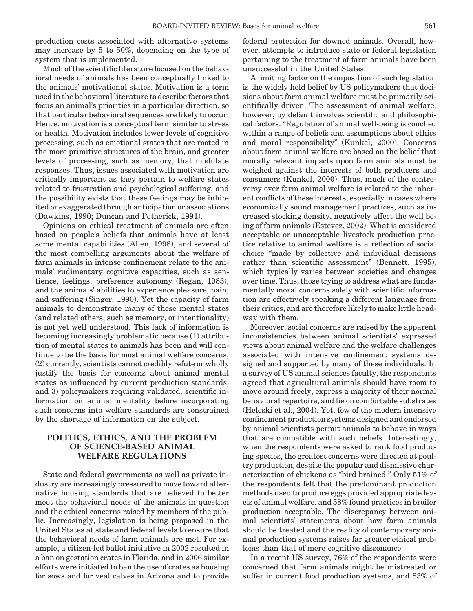production costs associated with alternative systems may increase by 5 to 50%, depending on the type of system that is implemented.

Much of the scientific literature focused on the behavioral needs of animals has been conceptually linked to the animals' motivational states. Motivation is a term used in the behavioral literature to describe factors that focus an animal's priorities in a particular direction, so that particular behavioral sequences are likely to occur. Hence, motivation is a conceptual term similar to stress or health. Motivation includes lower levels of cognitive processing, such as emotional states that are rooted in the more primitive structures of the brain, and greater levels of processing, such as memory, that modulate responses. Thus, issues associated with motivation are critically important as they pertain to welfare states related to frustration and psychological suffering, and the possibility exists that these feelings may be inhibited or exaggerated through anticipation or associations (Dawkins, 1990; Duncan and Petherick, 1991).

Opinions on ethical treatment of animals are often based on people's beliefs that animals have at least some mental capabilities (Allen, 1998), and several of the most compelling arguments about the welfare of farm animals in intense confinement relate to the animals' rudimentary cognitive capacities, such as sentience, feelings, preference autonomy (Regan, 1983), and the animals' abilities to experience pleasure, pain, and suffering (Singer, 1990). Yet the capacity of farm animals to demonstrate many of these mental states (and related others, such as memory, or intentionality) is not yet well understood. This lack of information is becoming increasingly problematic because (1) attribution of mental states to animals has been and will continue to be the basis for most animal welfare concerns; (2) currently, scientists cannot credibly refute or wholly justify the basis for concerns about animal mental states as influenced by current production standards; and 3) policymakers requiring validated, scientific information on animal mentality before incorporating such concerns into welfare standards are constrained by the shortage of information on the subject.

### **POLITICS, ETHICS, AND THE PROBLEM OF SCIENCE-BASED ANIMAL WELFARE REGULATIONS**

State and federal governments as well as private industry are increasingly pressured to move toward alternative housing standards that are believed to better meet the behavioral needs of the animals in question and the ethical concerns raised by members of the public. Increasingly, legislation is being proposed in the United States at state and federal levels to ensure that the behavioral needs of farm animals are met. For example, a citizen-led ballot initiative in 2002 resulted in a ban on gestation crates in Florida, and in 2006 similar efforts were initiated to ban the use of crates as housing for sows and for veal calves in Arizona and to provide federal protection for downed animals. Overall, however, attempts to introduce state or federal legislation pertaining to the treatment of farm animals have been unsuccessful in the United States.

A limiting factor on the imposition of such legislation is the widely held belief by US policymakers that decisions about farm animal welfare must be primarily scientifically driven. The assessment of animal welfare, however, by default involves scientific and philosophical factors. "Regulation of animal well-being is couched within a range of beliefs and assumptions about ethics and moral responsibility" (Kunkel, 2000). Concerns about farm animal welfare are based on the belief that morally relevant impacts upon farm animals must be weighed against the interests of both producers and consumers (Kunkel, 2000). Thus, much of the controversy over farm animal welfare is related to the inherent conflicts of these interests, especially in cases where economically sound management practices, such as increased stocking density, negatively affect the well being of farm animals (Estevez, 2002). What is considered acceptable or unacceptable livestock production practice relative to animal welfare is a reflection of social choice "made by collective and individual decisions rather than scientific assessment" (Bennett, 1995), which typically varies between societies and changes over time. Thus, those trying to address what are fundamentally moral concerns solely with scientific information are effectively speaking a different language from their critics, and are therefore likely to make little headway with them.

Moreover, social concerns are raised by the apparent inconsistencies between animal scientists' expressed views about animal welfare and the welfare challenges associated with intensive confinement systems designed and supported by many of these individuals. In a survey of US animal sciences faculty, the respondents agreed that agricultural animals should have room to move around freely, express a majority of their normal behavioral repertoire, and lie on comfortable substrates (Heleski et al., 2004). Yet, few of the modern intensive confinement production systems designed and endorsed by animal scientists permit animals to behave in ways that are compatible with such beliefs. Interestingly, when the respondents were asked to rank food producing species, the greatest concerns were directed at poultry production, despite the popular and dismissive characterization of chickens as "bird brained." Only 51% of the respondents felt that the predominant production methods used to produce eggs provided appropriate levels of animal welfare, and 58% found practices in broiler production acceptable. The discrepancy between animal scientists' statements about how farm animals should be treated and the reality of contemporary animal production systems raises far greater ethical problems than that of mere cognitive dissonance.

In a recent US survey, 76% of the respondents were concerned that farm animals might be mistreated or suffer in current food production systems, and 83% of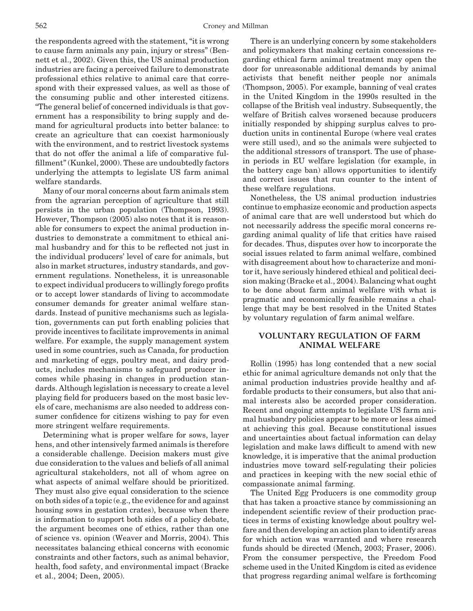the respondents agreed with the statement, "it is wrong to cause farm animals any pain, injury or stress" (Bennett et al., 2002). Given this, the US animal production industries are facing a perceived failure to demonstrate professional ethics relative to animal care that correspond with their expressed values, as well as those of the consuming public and other interested citizens. "The general belief of concerned individuals is that government has a responsibility to bring supply and demand for agricultural products into better balance: to create an agriculture that can coexist harmoniously with the environment, and to restrict livestock systems that do not offer the animal a life of comparative fulfillment" (Kunkel, 2000). These are undoubtedly factors underlying the attempts to legislate US farm animal welfare standards.

Many of our moral concerns about farm animals stem from the agrarian perception of agriculture that still persists in the urban population (Thompson, 1993). However, Thompson (2005) also notes that it is reasonable for consumers to expect the animal production industries to demonstrate a commitment to ethical animal husbandry and for this to be reflected not just in the individual producers' level of care for animals, but also in market structures, industry standards, and government regulations. Nonetheless, it is unreasonable to expect individual producers to willingly forego profits or to accept lower standards of living to accommodate consumer demands for greater animal welfare standards. Instead of punitive mechanisms such as legislation, governments can put forth enabling policies that provide incentives to facilitate improvements in animal welfare. For example, the supply management system used in some countries, such as Canada, for production and marketing of eggs, poultry meat, and dairy products, includes mechanisms to safeguard producer incomes while phasing in changes in production standards. Although legislation is necessary to create a level playing field for producers based on the most basic levels of care, mechanisms are also needed to address consumer confidence for citizens wishing to pay for even more stringent welfare requirements.

Determining what is proper welfare for sows, layer hens, and other intensively farmed animals is therefore a considerable challenge. Decision makers must give due consideration to the values and beliefs of all animal agricultural stakeholders, not all of whom agree on what aspects of animal welfare should be prioritized. They must also give equal consideration to the science on both sides of a topic (e.g., the evidence for and against housing sows in gestation crates), because when there is information to support both sides of a policy debate, the argument becomes one of ethics, rather than one of science vs. opinion (Weaver and Morris, 2004). This necessitates balancing ethical concerns with economic constraints and other factors, such as animal behavior, health, food safety, and environmental impact (Bracke et al., 2004; Deen, 2005).

There is an underlying concern by some stakeholders and policymakers that making certain concessions regarding ethical farm animal treatment may open the door for unreasonable additional demands by animal activists that benefit neither people nor animals (Thompson, 2005). For example, banning of veal crates in the United Kingdom in the 1990s resulted in the collapse of the British veal industry. Subsequently, the welfare of British calves worsened because producers initially responded by shipping surplus calves to production units in continental Europe (where veal crates were still used), and so the animals were subjected to the additional stressors of transport. The use of phasein periods in EU welfare legislation (for example, in the battery cage ban) allows opportunities to identify and correct issues that run counter to the intent of these welfare regulations.

Nonetheless, the US animal production industries continue to emphasize economic and production aspects of animal care that are well understood but which do not necessarily address the specific moral concerns regarding animal quality of life that critics have raised for decades. Thus, disputes over how to incorporate the social issues related to farm animal welfare, combined with disagreement about how to characterize and monitor it, have seriously hindered ethical and political decision making (Bracke et al., 2004). Balancing what ought to be done about farm animal welfare with what is pragmatic and economically feasible remains a challenge that may be best resolved in the United States by voluntary regulation of farm animal welfare.

# **VOLUNTARY REGULATION OF FARM ANIMAL WELFARE**

Rollin (1995) has long contended that a new social ethic for animal agriculture demands not only that the animal production industries provide healthy and affordable products to their consumers, but also that animal interests also be accorded proper consideration. Recent and ongoing attempts to legislate US farm animal husbandry policies appear to be more or less aimed at achieving this goal. Because constitutional issues and uncertainties about factual information can delay legislation and make laws difficult to amend with new knowledge, it is imperative that the animal production industries move toward self-regulating their policies and practices in keeping with the new social ethic of compassionate animal farming.

The United Egg Producers is one commodity group that has taken a proactive stance by commissioning an independent scientific review of their production practices in terms of existing knowledge about poultry welfare and then developing an action plan to identify areas for which action was warranted and where research funds should be directed (Mench, 2003; Fraser, 2006). From the consumer perspective, the Freedom Food scheme used in the United Kingdom is cited as evidence that progress regarding animal welfare is forthcoming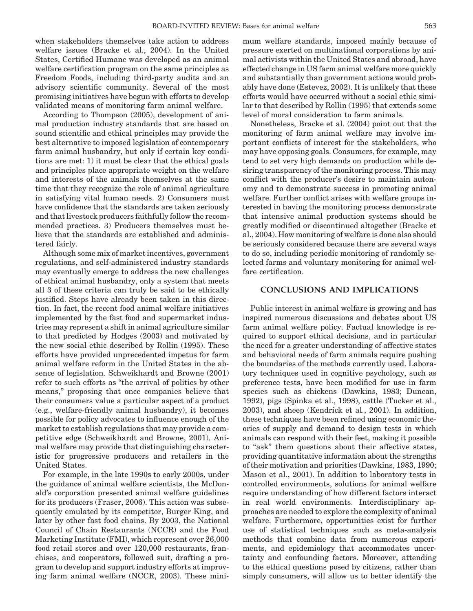when stakeholders themselves take action to address welfare issues (Bracke et al., 2004). In the United States, Certified Humane was developed as an animal welfare certification program on the same principles as Freedom Foods, including third-party audits and an advisory scientific community. Several of the most promising initiatives have begun with efforts to develop validated means of monitoring farm animal welfare.

According to Thompson (2005), development of animal production industry standards that are based on sound scientific and ethical principles may provide the best alternative to imposed legislation of contemporary farm animal husbandry, but only if certain key conditions are met: 1) it must be clear that the ethical goals and principles place appropriate weight on the welfare and interests of the animals themselves at the same time that they recognize the role of animal agriculture in satisfying vital human needs. 2) Consumers must have confidence that the standards are taken seriously and that livestock producers faithfully follow the recommended practices. 3) Producers themselves must believe that the standards are established and administered fairly.

Although some mix of market incentives, government regulations, and self-administered industry standards may eventually emerge to address the new challenges of ethical animal husbandry, only a system that meets all 3 of these criteria can truly be said to be ethically justified. Steps have already been taken in this direction. In fact, the recent food animal welfare initiatives implemented by the fast food and supermarket industries may represent a shift in animal agriculture similar to that predicted by Hodges (2003) and motivated by the new social ethic described by Rollin (1995). These efforts have provided unprecedented impetus for farm animal welfare reform in the United States in the absence of legislation. Schweikhardt and Browne (2001) refer to such efforts as "the arrival of politics by other means," proposing that once companies believe that their consumers value a particular aspect of a product (e.g., welfare-friendly animal husbandry), it becomes possible for policy advocates to influence enough of the market to establish regulations that may provide a competitive edge (Schweikhardt and Browne, 2001). Animal welfare may provide that distinguishing characteristic for progressive producers and retailers in the United States.

For example, in the late 1990s to early 2000s, under the guidance of animal welfare scientists, the McDonald's corporation presented animal welfare guidelines for its producers (Fraser, 2006). This action was subsequently emulated by its competitor, Burger King, and later by other fast food chains. By 2003, the National Council of Chain Restaurants (NCCR) and the Food Marketing Institute (FMI), which represent over 26,000 food retail stores and over 120,000 restaurants, franchises, and cooperators, followed suit, drafting a program to develop and support industry efforts at improving farm animal welfare (NCCR, 2003). These minimum welfare standards, imposed mainly because of pressure exerted on multinational corporations by animal activists within the United States and abroad, have effected change in US farm animal welfare more quickly and substantially than government actions would probably have done (Estevez, 2002). It is unlikely that these efforts would have occurred without a social ethic similar to that described by Rollin (1995) that extends some level of moral consideration to farm animals.

Nonetheless, Bracke et al. (2004) point out that the monitoring of farm animal welfare may involve important conflicts of interest for the stakeholders, who may have opposing goals. Consumers, for example, may tend to set very high demands on production while desiring transparency of the monitoring process. This may conflict with the producer's desire to maintain autonomy and to demonstrate success in promoting animal welfare. Further conflict arises with welfare groups interested in having the monitoring process demonstrate that intensive animal production systems should be greatly modified or discontinued altogether (Bracke et al., 2004). How monitoring of welfare is done also should be seriously considered because there are several ways to do so, including periodic monitoring of randomly selected farms and voluntary monitoring for animal welfare certification.

#### **CONCLUSIONS AND IMPLICATIONS**

Public interest in animal welfare is growing and has inspired numerous discussions and debates about US farm animal welfare policy. Factual knowledge is required to support ethical decisions, and in particular the need for a greater understanding of affective states and behavioral needs of farm animals require pushing the boundaries of the methods currently used. Laboratory techniques used in cognitive psychology, such as preference tests, have been modified for use in farm species such as chickens (Dawkins, 1983; Duncan, 1992), pigs (Spinka et al., 1998), cattle (Tucker et al., 2003), and sheep (Kendrick et al., 2001). In addition, these techniques have been refined using economic theories of supply and demand to design tests in which animals can respond with their feet, making it possible to "ask" them questions about their affective states, providing quantitative information about the strengths of their motivation and priorities (Dawkins, 1983, 1990; Mason et al., 2001). In addition to laboratory tests in controlled environments, solutions for animal welfare require understanding of how different factors interact in real world environments. Interdisciplinary approaches are needed to explore the complexity of animal welfare. Furthermore, opportunities exist for further use of statistical techniques such as meta-analysis methods that combine data from numerous experiments, and epidemiology that accommodates uncertainty and confounding factors. Moreover, attending to the ethical questions posed by citizens, rather than simply consumers, will allow us to better identify the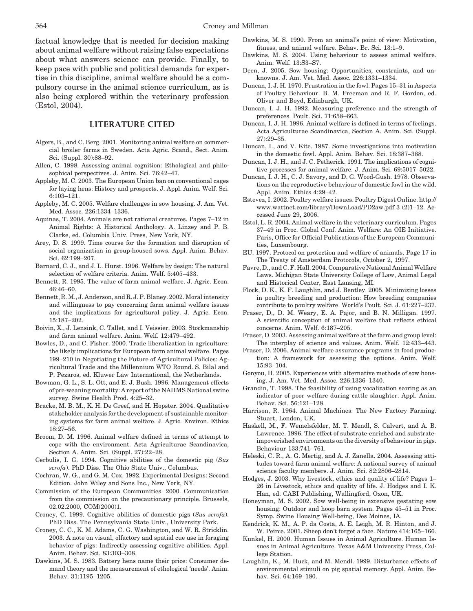factual knowledge that is needed for decision making about animal welfare without raising false expectations about what answers science can provide. Finally, to keep pace with public and political demands for expertise in this discipline, animal welfare should be a compulsory course in the animal science curriculum, as is also being explored within the veterinary profession (Estol, 2004).

#### **LITERATURE CITED**

- Algers, B., and C. Berg. 2001. Monitoring animal welfare on commercial broiler farms in Sweden. Acta Agric. Scand., Sect. Anim. Sci. (Suppl. 30):88–92.
- Allen, C. 1998. Assessing animal cognition: Ethological and philosophical perspectives. J. Anim. Sci. 76:42–47.
- Appleby, M. C. 2003. The European Union ban on conventional cages for laying hens: History and prospects. J. Appl. Anim. Welf. Sci. 6:103–121.
- Appleby, M. C. 2005. Welfare challenges in sow housing. J. Am. Vet. Med. Assoc. 226:1334–1336.
- Aquinas, T. 2004. Animals are not rational creatures. Pages 7–12 in Animal Rights: A Historical Anthology. A. Linzey and P. B. Clarke, ed. Columbia Univ. Press, New York, NY.
- Arey, D. S. 1999. Time course for the formation and disruption of social organization in group-housed sows. Appl. Anim. Behav. Sci. 62:199–207.
- Barnard, C. J., and J. L. Hurst. 1996. Welfare by design: The natural selection of welfare criteria. Anim. Welf. 5:405–433.
- Bennett, R. 1995. The value of farm animal welfare. J. Agric. Econ. 46:46–60.
- Bennett, R. M., J. Anderson, and R. J. P. Blaney. 2002. Moral intensity and willingness to pay concerning farm animal welfare issues and the implications for agricultural policy. J. Agric. Econ. 15:187–202.
- Boivin, X., J. Lensink, C. Tallet, and I. Veissier. 2003. Stockmanship and farm animal welfare. Anim. Welf. 12:479–492.
- Bowles, D., and C. Fisher. 2000. Trade liberalization in agriculture: the likely implications for European farm animal welfare. Pages 199–210 in Negotiating the Future of Agricultural Policies: Agricultural Trade and the Millennium WTO Round. S. Bilal and P. Pezaros, ed. Kluwer Law International, the Netherlands.
- Bowman, G. L., S. L. Ott, and E. J. Bush. 1996. Management effects of pre-weaning mortality: A report of the NAHMS National swine survey. Swine Health Prod. 4:25–32.
- Bracke, M. B. M., K. H. De Greef, and H. Hopster. 2004. Qualitative stakeholder analysis for the development of sustainable monitoring systems for farm animal welfare. J. Agric. Environ. Ethics 18:27–56.
- Broom, D. M. 1996. Animal welfare defined in terms of attempt to cope with the environment. Acta Agriculturae Scandinavica, Section A. Anim. Sci. (Suppl. 27):22–28.
- Cerbulis, I. G. 1994. Cognitive abilities of the domestic pig (*Sus scrofa*). PhD Diss. The Ohio State Univ., Columbus.
- Cochran, W. G., and G. M. Cox. 1992. Experimental Designs: Second Edition. John Wiley and Sons Inc., New York, NY.
- Commission of the European Communities. 2000. Communication from the commission on the precautionary principle. Brussels, 02.02.2000, COM(2000)1.
- Croney, C. 1999. Cognitive abilities of domestic pigs (*Sus scrofa*). PhD Diss. The Pennsylvania State Univ., University Park.
- Croney, C. C., K. M. Adams, C. G. Washington, and W. R. Stricklin. 2003. A note on visual, olfactory and spatial cue use in foraging behavior of pigs: Indirectly assessing cognitive abilities. Appl. Anim. Behav. Sci. 83:303–308.
- Dawkins, M. S. 1983. Battery hens name their price: Consumer demand theory and the measurement of ethological 'needs'. Anim. Behav. 31:1195–1205.
- Dawkins, M. S. 1990. From an animal's point of view: Motivation, fitness, and animal welfare. Behav. Br. Sci. 13:1–9.
- Dawkins, M. S. 2004. Using behaviour to assess animal welfare. Anim. Welf. 13:S3–S7.
- Deen, J. 2005. Sow housing: Opportunities, constraints, and unknowns. J. Am. Vet. Med. Assoc. 226:1331–1334.
- Duncan, I. J. H. 1970. Frustration in the fowl. Pages 15–31 in Aspects of Poultry Behaviour. B. M. Freeman and R. F. Gordon, ed. Oliver and Boyd, Edinburgh, UK.
- Duncan, I. J. H. 1992. Measuring preference and the strength of preferences. Poult. Sci. 71:658–663.
- Duncan, I. J. H. 1996. Animal welfare is defined in terms of feelings. Acta Agriculturae Scandinavica, Section A. Anim. Sci. (Suppl. 27):29–35.
- Duncan, I., and V. Kite. 1987. Some investigations into motivation in the domestic fowl. Appl. Anim. Behav. Sci. 18:387–388.
- Duncan, I. J. H., and J. C. Petherick. 1991. The implications of cognitive processes for animal welfare. J. Anim. Sci. 69:5017–5022.
- Duncan, I. J. H., C. J. Savory, and D. G. Wood-Gush. 1978. Observations on the reproductive behaviour of domestic fowl in the wild. Appl. Anim. Ethics 4:29–42.
- Estevez, I. 2002. Poultry welfare issues. Poultry Digest Online. http:// www.wattnet.com/library/DownLoad/PD2aw.pdf 3 (2)1–12. Accessed June 29, 2006.
- Estol, L. R. 2004. Animal welfare in the veterinary curriculum. Pages 37–49 in Proc. Global Conf. Anim. Welfare: An OIE Initiative. Paris, Office for Official Publications of the European Communities, Luxembourg.
- EU. 1997. Protocol on protection and welfare of animals. Page 17 in The Treaty of Amsterdam Protocols, October 2, 1997.
- Favre, D., and C. F. Hall. 2004. Comparative National Animal Welfare Laws. Michigan State University College of Law, Animal Legal and Historical Center, East Lansing, MI.
- Flock, D. K., K. F. Laughlin, and J. Bentley. 2005. Minimizing losses in poultry breeding and production: How breeding companies contribute to poultry welfare. World's Poult. Sci. J. 61:227–237.
- Fraser, D., D. M. Weary, E. A. Pajor, and B. N. Milligan. 1997. A scientific conception of animal welfare that reflects ethical concerns. Anim. Welf. 6:187–205.
- Fraser, D. 2003. Assessing animal welfare at the farm and group level: The interplay of science and values. Anim. Welf. 12:433–443.
- Fraser, D. 2006. Animal welfare assurance programs in food production: A framework for assessing the options. Anim. Welf. 15:93–104.
- Gonyou, H. 2005. Experiences with alternative methods of sow housing. J. Am. Vet. Med. Assoc. 226:1336–1340.
- Grandin, T. 1998. The feasibility of using vocalization scoring as an indicator of poor welfare during cattle slaughter. Appl. Anim. Behav. Sci. 56:121–128.
- Harrison, R. 1964. Animal Machines: The New Factory Farming. Stuart, London, UK.
- Haskell, M., F. Wemelsfelder, M. T. Mendl, S. Calvert, and A. B. Lawrence. 1996. The effect of substrate-enriched and substrateimpoverished environments on the diversity of behaviour in pigs. Behaviour 133:741–761.
- Heleski, C. R., A. G. Mertig, and A. J. Zanella. 2004. Assessing attitudes toward farm animal welfare: A national survey of animal science faculty members. J. Anim. Sci. 82:2806–2814.
- Hodges, J. 2003. Why livestock, ethics and quality of life? Pages 1– 26 in Livestock, ethics and quality of life. J. Hodges and I. K. Han, ed. CABI Publishing, Wallingford, Oxon, UK.
- Honeyman, M. S. 2002. Sow well-being in extensive gestating sow housing: Outdoor and hoop barn system. Pages 45–51 in Proc. Symp. Swine Housing Well-being, Des Moines, IA.
- Kendrick, K. M., A. P. da Costa, A. E. Leigh, M. R. Hinton, and J. W. Peirce. 2001. Sheep don't forget a face. Nature 414:165–166.
- Kunkel, H. 2000. Human Issues in Animal Agriculture. Human Issues in Animal Agriculture. Texas A&M University Press, College Station.
- Laughlin, K., M. Huck, and M. Mendl. 1999. Disturbance effects of environmental stimuli on pig spatial memory. Appl. Anim. Behav. Sci. 64:169–180.